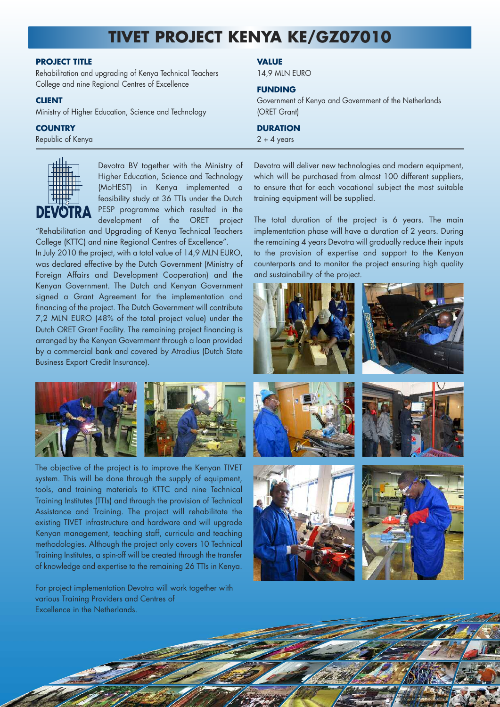# **TIVET PROJECT KENYA KE/GZ07010**

## **PROJECT TITLE**

Rehabilitation and upgrading of Kenya Technical Teachers College and nine Regional Centres of Excellence

#### **CLIENT**

Ministry of Higher Education, Science and Technology

## **COUNTRY**

Republic of Kenya



Devotra BV together with the Ministry of Higher Education, Science and Technology (MoHEST) in Kenya implemented a feasibility study at 36 TTIs under the Dutch PESP programme which resulted in the development of the ORET project

"Rehabilitation and Upgrading of Kenya Technical Teachers College (KTTC) and nine Regional Centres of Excellence". In July 2010 the project, with a total value of 14,9 MLN EURO, was declared effective by the Dutch Government (Ministry of Foreign Affairs and Development Cooperation) and the Kenyan Government. The Dutch and Kenyan Government signed a Grant Agreement for the implementation and financing of the project. The Dutch Government will contribute 7,2 MLN EURO (48% of the total project value) under the Dutch ORET Grant Facility. The remaining project financing is arranged by the Kenyan Government through a loan provided by a commercial bank and covered by Atradius (Dutch State Business Export Credit Insurance).



The objective of the project is to improve the Kenyan TIVET system. This will be done through the supply of equipment, tools, and training materials to KTTC and nine Technical Training Institutes (TTIs) and through the provision of Technical Assistance and Training. The project will rehabilitate the existing TIVET infrastructure and hardware and will upgrade Kenyan management, teaching staff, curricula and teaching methodologies. Although the project only covers 10 Technical Training Institutes, a spin-off will be created through the transfer of knowledge and expertise to the remaining 26 TTIs in Kenya.

For project implementation Devotra will work together with various Training Providers and Centres of Excellence in the Netherlands.

## **VALUE**

14,9 MLN EURO

### **FUNDING**

Government of Kenya and Government of the Netherlands (ORET Grant)

## **DURATION**

 $2 + 4$  years

Devotra will deliver new technologies and modern equipment, which will be purchased from almost 100 different suppliers, to ensure that for each vocational subject the most suitable training equipment will be supplied.

The total duration of the project is 6 years. The main implementation phase will have a duration of 2 years. During the remaining 4 years Devotra will gradually reduce their inputs to the provision of expertise and support to the Kenyan counterparts and to monitor the project ensuring high quality and sustainability of the project.